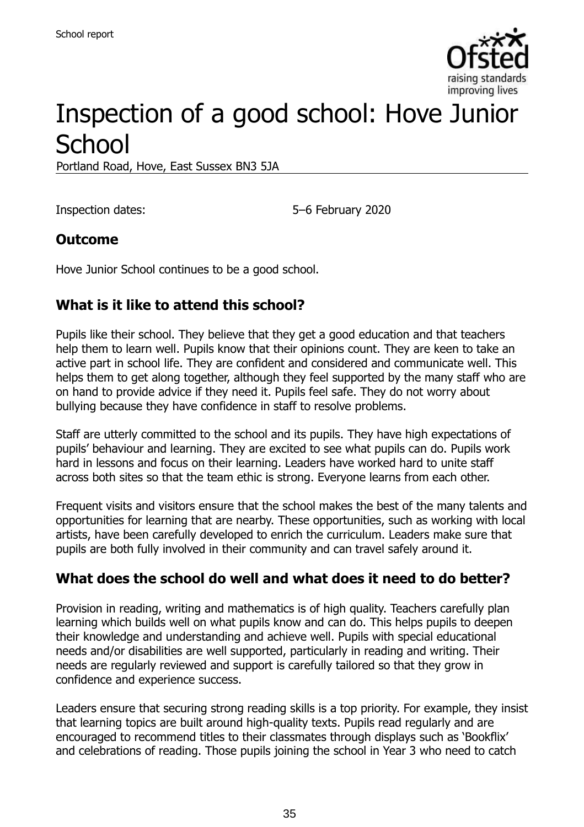

# Inspection of a good school: Hove Junior **School**

Portland Road, Hove, East Sussex BN3 5JA

Inspection dates: 5–6 February 2020

#### **Outcome**

Hove Junior School continues to be a good school.

### **What is it like to attend this school?**

Pupils like their school. They believe that they get a good education and that teachers help them to learn well. Pupils know that their opinions count. They are keen to take an active part in school life. They are confident and considered and communicate well. This helps them to get along together, although they feel supported by the many staff who are on hand to provide advice if they need it. Pupils feel safe. They do not worry about bullying because they have confidence in staff to resolve problems.

Staff are utterly committed to the school and its pupils. They have high expectations of pupils' behaviour and learning. They are excited to see what pupils can do. Pupils work hard in lessons and focus on their learning. Leaders have worked hard to unite staff across both sites so that the team ethic is strong. Everyone learns from each other.

Frequent visits and visitors ensure that the school makes the best of the many talents and opportunities for learning that are nearby. These opportunities, such as working with local artists, have been carefully developed to enrich the curriculum. Leaders make sure that pupils are both fully involved in their community and can travel safely around it.

#### **What does the school do well and what does it need to do better?**

Provision in reading, writing and mathematics is of high quality. Teachers carefully plan learning which builds well on what pupils know and can do. This helps pupils to deepen their knowledge and understanding and achieve well. Pupils with special educational needs and/or disabilities are well supported, particularly in reading and writing. Their needs are regularly reviewed and support is carefully tailored so that they grow in confidence and experience success.

Leaders ensure that securing strong reading skills is a top priority. For example, they insist that learning topics are built around high-quality texts. Pupils read regularly and are encouraged to recommend titles to their classmates through displays such as 'Bookflix' and celebrations of reading. Those pupils joining the school in Year 3 who need to catch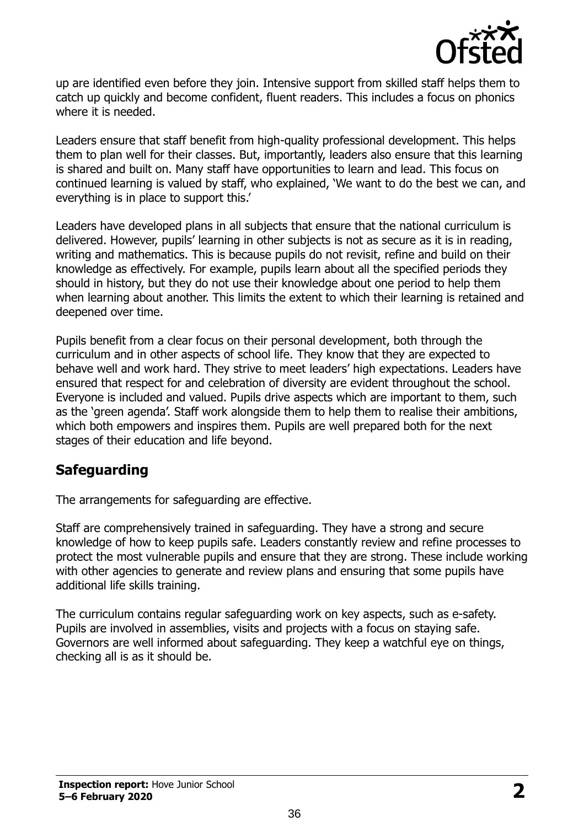

up are identified even before they join. Intensive support from skilled staff helps them to catch up quickly and become confident, fluent readers. This includes a focus on phonics where it is needed.

Leaders ensure that staff benefit from high-quality professional development. This helps them to plan well for their classes. But, importantly, leaders also ensure that this learning is shared and built on. Many staff have opportunities to learn and lead. This focus on continued learning is valued by staff, who explained, 'We want to do the best we can, and everything is in place to support this.'

Leaders have developed plans in all subjects that ensure that the national curriculum is delivered. However, pupils' learning in other subjects is not as secure as it is in reading, writing and mathematics. This is because pupils do not revisit, refine and build on their knowledge as effectively. For example, pupils learn about all the specified periods they should in history, but they do not use their knowledge about one period to help them when learning about another. This limits the extent to which their learning is retained and deepened over time.

Pupils benefit from a clear focus on their personal development, both through the curriculum and in other aspects of school life. They know that they are expected to behave well and work hard. They strive to meet leaders' high expectations. Leaders have ensured that respect for and celebration of diversity are evident throughout the school. Everyone is included and valued. Pupils drive aspects which are important to them, such as the 'green agenda'. Staff work alongside them to help them to realise their ambitions, which both empowers and inspires them. Pupils are well prepared both for the next stages of their education and life beyond.

#### **Safeguarding**

The arrangements for safeguarding are effective.

Staff are comprehensively trained in safeguarding. They have a strong and secure knowledge of how to keep pupils safe. Leaders constantly review and refine processes to protect the most vulnerable pupils and ensure that they are strong. These include working with other agencies to generate and review plans and ensuring that some pupils have additional life skills training.

The curriculum contains regular safeguarding work on key aspects, such as e-safety. Pupils are involved in assemblies, visits and projects with a focus on staying safe. Governors are well informed about safeguarding. They keep a watchful eye on things, checking all is as it should be.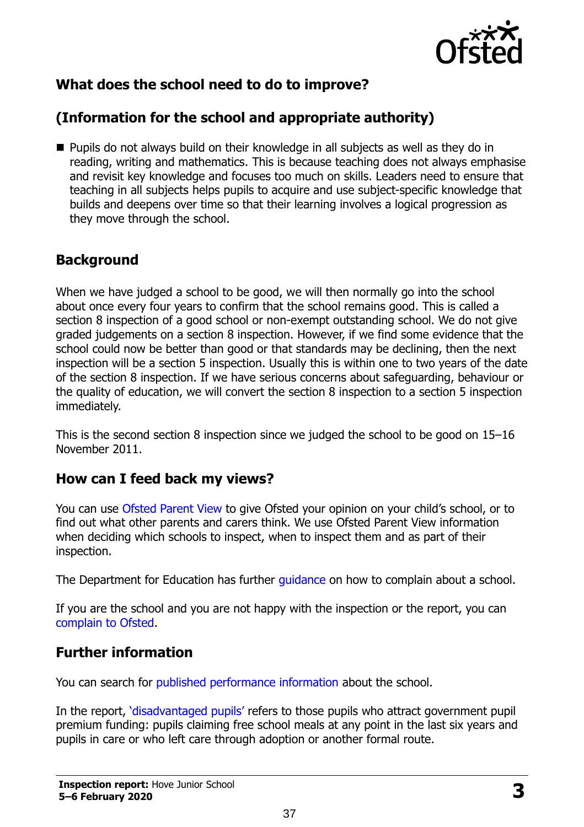

# **What does the school need to do to improve?**

# **(Information for the school and appropriate authority)**

■ Pupils do not always build on their knowledge in all subjects as well as they do in reading, writing and mathematics. This is because teaching does not always emphasise and revisit key knowledge and focuses too much on skills. Leaders need to ensure that teaching in all subjects helps pupils to acquire and use subject-specific knowledge that builds and deepens over time so that their learning involves a logical progression as they move through the school.

#### **Background**

When we have judged a school to be good, we will then normally go into the school about once every four years to confirm that the school remains good. This is called a section 8 inspection of a good school or non-exempt outstanding school. We do not give graded judgements on a section 8 inspection. However, if we find some evidence that the school could now be better than good or that standards may be declining, then the next inspection will be a section 5 inspection. Usually this is within one to two years of the date of the section 8 inspection. If we have serious concerns about safeguarding, behaviour or the quality of education, we will convert the section 8 inspection to a section 5 inspection immediately.

This is the second section 8 inspection since we judged the school to be good on 15–16 November 2011.

#### **How can I feed back my views?**

You can use [Ofsted Parent View](https://parentview.ofsted.gov.uk/) to give Ofsted your opinion on your child's school, or to find out what other parents and carers think. We use Ofsted Parent View information when deciding which schools to inspect, when to inspect them and as part of their inspection.

The Department for Education has further quidance on how to complain about a school.

If you are the school and you are not happy with the inspection or the report, you can [complain to Ofsted.](https://www.gov.uk/complain-ofsted-report)

### **Further information**

You can search for [published performance information](http://www.compare-school-performance.service.gov.uk/) about the school.

In the report, '[disadvantaged pupils](http://www.gov.uk/guidance/pupil-premium-information-for-schools-and-alternative-provision-settings)' refers to those pupils who attract government pupil premium funding: pupils claiming free school meals at any point in the last six years and pupils in care or who left care through adoption or another formal route.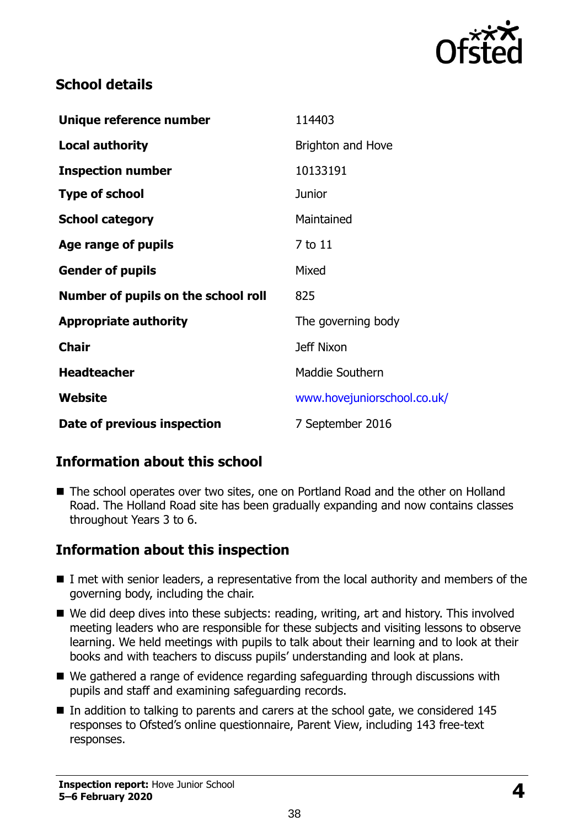

#### **School details**

| Unique reference number             | 114403                      |
|-------------------------------------|-----------------------------|
| <b>Local authority</b>              | <b>Brighton and Hove</b>    |
| <b>Inspection number</b>            | 10133191                    |
| <b>Type of school</b>               | Junior                      |
| <b>School category</b>              | Maintained                  |
| Age range of pupils                 | 7 to 11                     |
| <b>Gender of pupils</b>             | Mixed                       |
| Number of pupils on the school roll | 825                         |
| <b>Appropriate authority</b>        | The governing body          |
| <b>Chair</b>                        | <b>Jeff Nixon</b>           |
| <b>Headteacher</b>                  | Maddie Southern             |
| Website                             | www.hovejuniorschool.co.uk/ |
| Date of previous inspection         | 7 September 2016            |

#### **Information about this school**

■ The school operates over two sites, one on Portland Road and the other on Holland Road. The Holland Road site has been gradually expanding and now contains classes throughout Years 3 to 6.

### **Information about this inspection**

- I met with senior leaders, a representative from the local authority and members of the governing body, including the chair.
- We did deep dives into these subjects: reading, writing, art and history. This involved meeting leaders who are responsible for these subjects and visiting lessons to observe learning. We held meetings with pupils to talk about their learning and to look at their books and with teachers to discuss pupils' understanding and look at plans.
- We gathered a range of evidence regarding safeguarding through discussions with pupils and staff and examining safeguarding records.
- $\blacksquare$  In addition to talking to parents and carers at the school gate, we considered 145 responses to Ofsted's online questionnaire, Parent View, including 143 free-text responses.

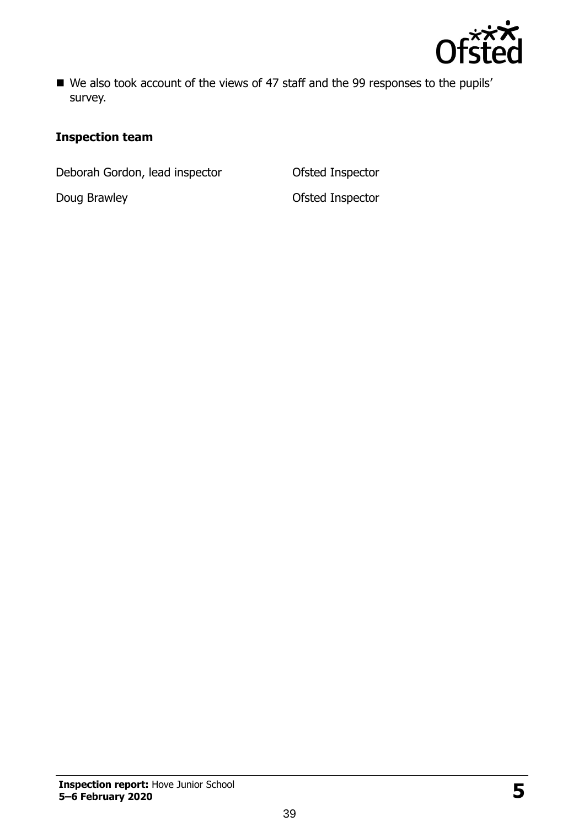

■ We also took account of the views of 47 staff and the 99 responses to the pupils' survey.

#### **Inspection team**

Deborah Gordon, lead inspector **Ofsted Inspector** 

Doug Brawley **Doug Brawley CONFINGLER**